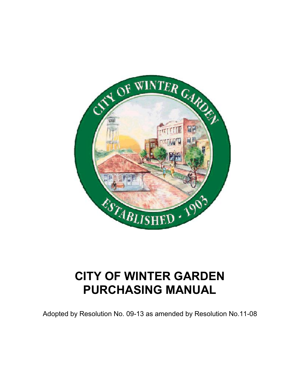

# **CITY OF WINTER GARDEN PURCHASING MANUAL**

Adopted by Resolution No. 09-13 as amended by Resolution No.11-08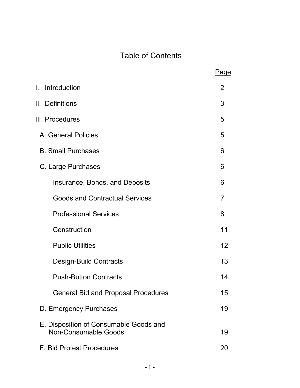## Table of Contents

|                                                                       | Page |
|-----------------------------------------------------------------------|------|
| L.<br>Introduction                                                    | 2    |
| II. Definitions                                                       | 3    |
| III. Procedures                                                       | 5    |
| A. General Policies                                                   | 5    |
| <b>B. Small Purchases</b>                                             | 6    |
| C. Large Purchases                                                    | 6    |
| Insurance, Bonds, and Deposits                                        | 6    |
| <b>Goods and Contractual Services</b>                                 | 7    |
| <b>Professional Services</b>                                          | 8    |
| Construction                                                          | 11   |
| <b>Public Utilities</b>                                               | 12   |
| <b>Design-Build Contracts</b>                                         | 13   |
| <b>Push-Button Contracts</b>                                          | 14   |
| <b>General Bid and Proposal Procedures</b>                            | 15   |
| D. Emergency Purchases                                                | 19   |
| E. Disposition of Consumable Goods and<br><b>Non-Consumable Goods</b> | 19   |
| F. Bid Protest Procedures                                             | 20   |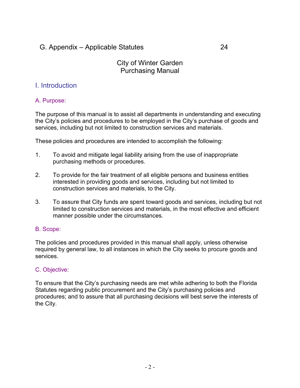### G. Appendix – Applicable Statutes 24

#### City of Winter Garden Purchasing Manual

#### I. Introduction

#### A. Purpose:

The purpose of this manual is to assist all departments in understanding and executing the City's policies and procedures to be employed in the City's purchase of goods and services, including but not limited to construction services and materials.

These policies and procedures are intended to accomplish the following:

- 1. To avoid and mitigate legal liability arising from the use of inappropriate purchasing methods or procedures.
- 2. To provide for the fair treatment of all eligible persons and business entities interested in providing goods and services, including but not limited to construction services and materials, to the City.
- 3. To assure that City funds are spent toward goods and services, including but not limited to construction services and materials, in the most effective and efficient manner possible under the circumstances.

#### B. Scope:

The policies and procedures provided in this manual shall apply, unless otherwise required by general law, to all instances in which the City seeks to procure goods and services.

#### C. Objective:

To ensure that the City's purchasing needs are met while adhering to both the Florida Statutes regarding public procurement and the City's purchasing policies and procedures; and to assure that all purchasing decisions will best serve the interests of the City.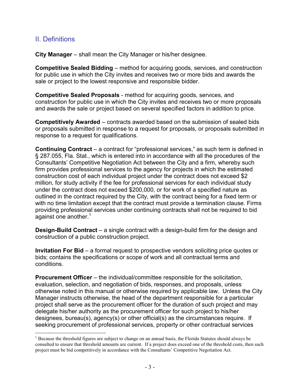#### II. Definitions

**City Manager** – shall mean the City Manager or his/her designee.

**Competitive Sealed Bidding** – method for acquiring goods, services, and construction for public use in which the City invites and receives two or more bids and awards the sale or project to the lowest responsive and responsible bidder.

**Competitive Sealed Proposals** - method for acquiring goods, services, and construction for public use in which the City invites and receives two or more proposals and awards the sale or project based on several specified factors in addition to price.

**Competitively Awarded** – contracts awarded based on the submission of sealed bids or proposals submitted in response to a request for proposals, or proposals submitted in response to a request for qualifications.

**Continuing Contract** – a contract for "professional services," as such term is defined in § 287.055, Fla. Stat., which is entered into in accordance with all the procedures of the Consultants' Competitive Negotiation Act between the City and a firm, whereby such firm provides professional services to the agency for projects in which the estimated construction cost of each individual project under the contract does not exceed \$2 million, for study activity if the fee for professional services for each individual study under the contract does not exceed \$200,000, or for work of a specified nature as outlined in the contract required by the City, with the contract being for a fixed term or with no time limitation except that the contract must provide a termination clause. Firms providing professional services under continuing contracts shall not be required to bid against one another. $1$ 

**Design-Build Contract** – a single contract with a design-build firm for the design and construction of a public construction project.

**Invitation For Bid** – a formal request to prospective vendors soliciting price quotes or bids; contains the specifications or scope of work and all contractual terms and conditions.

**Procurement Officer** – the individual/committee responsible for the solicitation, evaluation, selection, and negotiation of bids, responses, and proposals, unless otherwise noted in this manual or otherwise required by applicable law. Unless the City Manager instructs otherwise, the head of the department responsible for a particular project shall serve as the procurement officer for the duration of such project and may delegate his/her authority as the procurement officer for such project to his/her designees, bureau(s), agency(s) or other official(s) as the circumstances require. If seeking procurement of professional services, property or other contractual services

<sup>&</sup>lt;sup>1</sup> Because the threshold figures are subject to change on an annual basis, the Florida Statutes should always be consulted to ensure that threshold amounts are current. If a project does exceed one of the threshold costs, then such project must be bid competitively in accordance with the Consultants' Competitive Negotiation Act.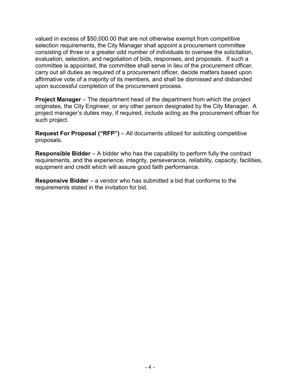valued in excess of \$50,000.00 that are not otherwise exempt from competitive selection requirements, the City Manager shall appoint a procurement committee consisting of three or a greater odd number of individuals to oversee the solicitation, evaluation, selection, and negotiation of bids, responses, and proposals. If such a committee is appointed, the committee shall serve in lieu of the procurement officer, carry out all duties as required of a procurement officer, decide matters based upon affirmative vote of a majority of its members, and shall be dismissed and disbanded upon successful completion of the procurement process.

**Project Manager** – The department head of the department from which the project originates, the City Engineer, or any other person designated by the City Manager. A project manager's duties may, if required, include acting as the procurement officer for such project.

**Request For Proposal ("RFP")** – All documents utilized for soliciting competitive proposals.

**Responsible Bidder** – A bidder who has the capability to perform fully the contract requirements, and the experience, integrity, perseverance, reliability, capacity, facilities, equipment and credit which will assure good faith performance.

**Responsive Bidder** – a vendor who has submitted a bid that conforms to the requirements stated in the invitation for bid.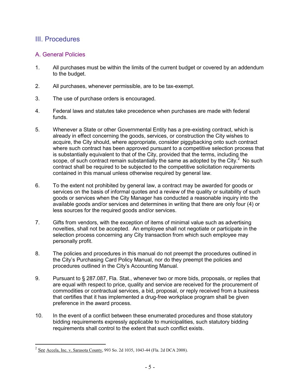#### III. Procedures

#### A. General Policies

- 1. All purchases must be within the limits of the current budget or covered by an addendum to the budget.
- 2. All purchases, whenever permissible, are to be tax-exempt.
- 3. The use of purchase orders is encouraged.
- 4. Federal laws and statutes take precedence when purchases are made with federal funds.
- 5. Whenever a State or other Governmental Entity has a pre-existing contract, which is already in effect concerning the goods, services, or construction the City wishes to acquire, the City should, where appropriate, consider piggybacking onto such contract where such contract has been approved pursuant to a competitive selection process that is substantially equivalent to that of the City, provided that the terms, including the scope, of such contract remain substantially the same as adopted by the City.<sup>2</sup> No such contract shall be required to be subjected to the competitive solicitation requirements contained in this manual unless otherwise required by general law.
- 6. To the extent not prohibited by general law, a contract may be awarded for goods or services on the basis of informal quotes and a review of the quality or suitability of such goods or services when the City Manager has conducted a reasonable inquiry into the available goods and/or services and determines in writing that there are only four (4) or less sources for the required goods and/or services.
- 7. Gifts from vendors, with the exception of items of minimal value such as advertising novelties, shall not be accepted. An employee shall not negotiate or participate in the selection process concerning any City transaction from which such employee may personally profit.
- 8. The policies and procedures in this manual do not preempt the procedures outlined in the City's Purchasing Card Policy Manual, nor do they preempt the policies and procedures outlined in the City's Accounting Manual.
- 9. Pursuant to § 287.087, Fla. Stat., whenever two or more bids, proposals, or replies that are equal with respect to price, quality and service are received for the procurement of commodities or contractual services, a bid, proposal, or reply received from a business that certifies that it has implemented a drug-free workplace program shall be given preference in the award process.
- 10. In the event of a conflict between these enumerated procedures and those statutory bidding requirements expressly applicable to municipalities, such statutory bidding requirements shall control to the extent that such conflict exists.

 $2^{2}$  See Accela, Inc. v. Sarasota County, 993 So. 2d 1035, 1043-44 (Fla. 2d DCA 2008).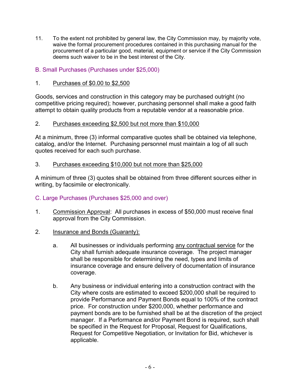- 11. To the extent not prohibited by general law, the City Commission may, by majority vote, waive the formal procurement procedures contained in this purchasing manual for the procurement of a particular good, material, equipment or service if the City Commission deems such waiver to be in the best interest of the City.
- B. Small Purchases (Purchases under \$25,000)
- 1. Purchases of \$0.00 to \$2,500

Goods, services and construction in this category may be purchased outright (no competitive pricing required); however, purchasing personnel shall make a good faith attempt to obtain quality products from a reputable vendor at a reasonable price.

#### 2. Purchases exceeding \$2,500 but not more than \$10,000

At a minimum, three (3) informal comparative quotes shall be obtained via telephone, catalog, and/or the Internet. Purchasing personnel must maintain a log of all such quotes received for each such purchase.

#### 3. Purchases exceeding \$10,000 but not more than \$25,000

A minimum of three (3) quotes shall be obtained from three different sources either in writing, by facsimile or electronically.

#### C. Large Purchases (Purchases \$25,000 and over)

- 1. Commission Approval: All purchases in excess of \$50,000 must receive final approval from the City Commission.
- 2. Insurance and Bonds (Guaranty):
	- a. All businesses or individuals performing any contractual service for the City shall furnish adequate insurance coverage. The project manager shall be responsible for determining the need, types and limits of insurance coverage and ensure delivery of documentation of insurance coverage.
	- b. Any business or individual entering into a construction contract with the City where costs are estimated to exceed \$200,000 shall be required to provide Performance and Payment Bonds equal to 100% of the contract price. For construction under \$200,000, whether performance and payment bonds are to be furnished shall be at the discretion of the project manager. If a Performance and/or Payment Bond is required, such shall be specified in the Request for Proposal, Request for Qualifications, Request for Competitive Negotiation, or Invitation for Bid, whichever is applicable.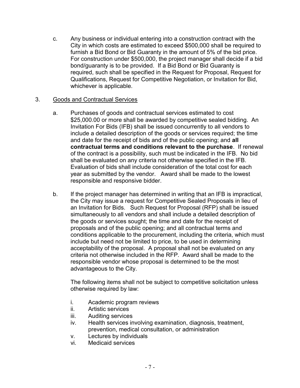c. Any business or individual entering into a construction contract with the City in which costs are estimated to exceed \$500,000 shall be required to furnish a Bid Bond or Bid Guaranty in the amount of 5% of the bid price. For construction under \$500,000, the project manager shall decide if a bid bond/guaranty is to be provided. If a Bid Bond or Bid Guaranty is required, such shall be specified in the Request for Proposal, Request for Qualifications, Request for Competitive Negotiation, or Invitation for Bid, whichever is applicable.

#### 3. Goods and Contractual Services

- a. Purchases of goods and contractual services estimated to cost \$25,000.00 or more shall be awarded by competitive sealed bidding. An Invitation For Bids (IFB) shall be issued concurrently to all vendors to include a detailed description of the goods or services required; the time and date for the receipt of bids and of the public opening; and **all contractual terms and conditions relevant to the purchase**. If renewal of the contract is a possibility, such must be indicated in the IFB. No bid shall be evaluated on any criteria not otherwise specified in the IFB. Evaluation of bids shall include consideration of the total cost for each year as submitted by the vendor. Award shall be made to the lowest responsible and responsive bidder.
- b. If the project manager has determined in writing that an IFB is impractical, the City may issue a request for Competitive Sealed Proposals in lieu of an Invitation for Bids. Such Request for Proposal (RFP) shall be issued simultaneously to all vendors and shall include a detailed description of the goods or services sought; the time and date for the receipt of proposals and of the public opening; and all contractual terms and conditions applicable to the procurement, including the criteria, which must include but need not be limited to price, to be used in determining acceptability of the proposal. A proposal shall not be evaluated on any criteria not otherwise included in the RFP. Award shall be made to the responsible vendor whose proposal is determined to be the most advantageous to the City.

The following items shall not be subject to competitive solicitation unless otherwise required by law:

- i. Academic program reviews
- ii. Artistic services
- iii. Auditing services
- iv. Health services involving examination, diagnosis, treatment, prevention, medical consultation, or administration
- v. Lectures by individuals
- vi. Medicaid services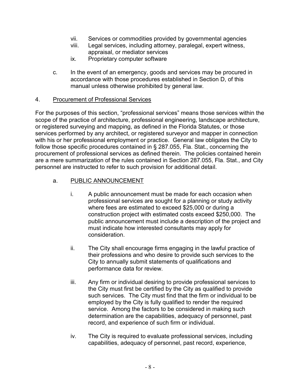- vii. Services or commodities provided by governmental agencies
- viii. Legal services, including attorney, paralegal, expert witness, appraisal, or mediator services
- ix. Proprietary computer software
- c. In the event of an emergency, goods and services may be procured in accordance with those procedures established in Section D, of this manual unless otherwise prohibited by general law.

#### 4. Procurement of Professional Services

For the purposes of this section, "professional services" means those services within the scope of the practice of architecture, professional engineering, landscape architecture, or registered surveying and mapping, as defined in the Florida Statutes, or those services performed by any architect, or registered surveyor and mapper in connection with his or her professional employment or practice. General law obligates the City to follow those specific procedures contained in § 287.055, Fla. Stat., concerning the procurement of professional services as defined therein. The policies contained herein are a mere summarization of the rules contained in Section 287.055, Fla. Stat., and City personnel are instructed to refer to such provision for additional detail.

#### a. PUBLIC ANNOUNCEMENT

- i. A public announcement must be made for each occasion when professional services are sought for a planning or study activity where fees are estimated to exceed \$25,000 or during a construction project with estimated costs exceed \$250,000. The public announcement must include a description of the project and must indicate how interested consultants may apply for consideration.
- ii. The City shall encourage firms engaging in the lawful practice of their professions and who desire to provide such services to the City to annually submit statements of qualifications and performance data for review.
- iii. Any firm or individual desiring to provide professional services to the City must first be certified by the City as qualified to provide such services. The City must find that the firm or individual to be employed by the City is fully qualified to render the required service. Among the factors to be considered in making such determination are the capabilities, adequacy of personnel, past record, and experience of such firm or individual.
- iv. The City is required to evaluate professional services, including capabilities, adequacy of personnel, past record, experience,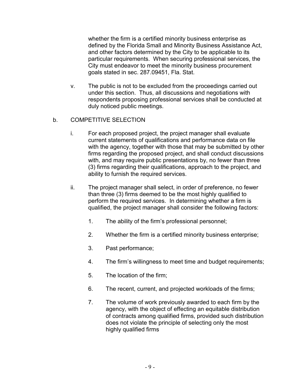whether the firm is a certified minority business enterprise as defined by the Florida Small and Minority Business Assistance Act, and other factors determined by the City to be applicable to its particular requirements. When securing professional services, the City must endeavor to meet the minority business procurement goals stated in sec. 287.09451, Fla. Stat.

v. The public is not to be excluded from the proceedings carried out under this section. Thus, all discussions and negotiations with respondents proposing professional services shall be conducted at duly noticed public meetings.

#### b. COMPETITIVE SELECTION

- i. For each proposed project, the project manager shall evaluate current statements of qualifications and performance data on file with the agency, together with those that may be submitted by other firms regarding the proposed project, and shall conduct discussions with, and may require public presentations by, no fewer than three (3) firms regarding their qualifications, approach to the project, and ability to furnish the required services.
- ii. The project manager shall select, in order of preference, no fewer than three (3) firms deemed to be the most highly qualified to perform the required services. In determining whether a firm is qualified, the project manager shall consider the following factors:
	- 1. The ability of the firm's professional personnel;
	- 2. Whether the firm is a certified minority business enterprise;
	- 3. Past performance;
	- 4. The firm's willingness to meet time and budget requirements;
	- 5. The location of the firm;
	- 6. The recent, current, and projected workloads of the firms;
	- 7. The volume of work previously awarded to each firm by the agency, with the object of effecting an equitable distribution of contracts among qualified firms, provided such distribution does not violate the principle of selecting only the most highly qualified firms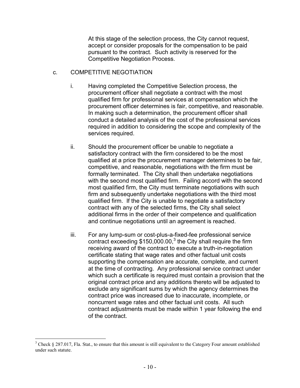At this stage of the selection process, the City cannot request, accept or consider proposals for the compensation to be paid pursuant to the contract. Such activity is reserved for the Competitive Negotiation Process.

#### c. COMPETITIVE NEGOTIATION

- i. Having completed the Competitive Selection process, the procurement officer shall negotiate a contract with the most qualified firm for professional services at compensation which the procurement officer determines is fair, competitive, and reasonable. In making such a determination, the procurement officer shall conduct a detailed analysis of the cost of the professional services required in addition to considering the scope and complexity of the services required.
- ii. Should the procurement officer be unable to negotiate a satisfactory contract with the firm considered to be the most qualified at a price the procurement manager determines to be fair, competitive, and reasonable, negotiations with the firm must be formally terminated. The City shall then undertake negotiations with the second most qualified firm. Failing accord with the second most qualified firm, the City must terminate negotiations with such firm and subsequently undertake negotiations with the third most qualified firm. If the City is unable to negotiate a satisfactory contract with any of the selected firms, the City shall select additional firms in the order of their competence and qualification and continue negotiations until an agreement is reached.
- iii. For any lump-sum or cost-plus-a-fixed-fee professional service contract exceeding \$150,000.00,<sup>3</sup> the City shall require the firm receiving award of the contract to execute a truth-in-negotiation certificate stating that wage rates and other factual unit costs supporting the compensation are accurate, complete, and current at the time of contracting. Any professional service contract under which such a certificate is required must contain a provision that the original contract price and any additions thereto will be adjusted to exclude any significant sums by which the agency determines the contract price was increased due to inaccurate, incomplete, or noncurrent wage rates and other factual unit costs. All such contract adjustments must be made within 1 year following the end of the contract.

 $3$  Check § 287.017, Fla. Stat., to ensure that this amount is still equivalent to the Category Four amount established under such statute.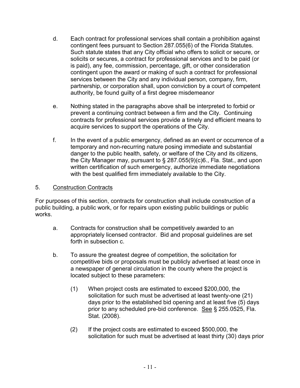- d. Each contract for professional services shall contain a prohibition against contingent fees pursuant to Section 287.055(6) of the Florida Statutes. Such statute states that any City official who offers to solicit or secure, or solicits or secures, a contract for professional services and to be paid (or is paid), any fee, commission, percentage, gift, or other consideration contingent upon the award or making of such a contract for professional services between the City and any individual person, company, firm, partnership, or corporation shall, upon conviction by a court of competent authority, be found guilty of a first degree misdemeanor
- e. Nothing stated in the paragraphs above shall be interpreted to forbid or prevent a continuing contract between a firm and the City. Continuing contracts for professional services provide a timely and efficient means to acquire services to support the operations of the City.
- f. In the event of a public emergency, defined as an event or occurrence of a temporary and non-recurring nature posing immediate and substantial danger to the public health, safety, or welfare of the City and its citizens, the City Manager may, pursuant to § 287.055(9)(c)6., Fla. Stat., and upon written certification of such emergency, authorize immediate negotiations with the best qualified firm immediately available to the City.

#### 5. Construction Contracts

For purposes of this section, contracts for construction shall include construction of a public building, a public work, or for repairs upon existing public buildings or public works.

- a. Contracts for construction shall be competitively awarded to an appropriately licensed contractor. Bid and proposal guidelines are set forth in subsection c.
- b. To assure the greatest degree of competition, the solicitation for competitive bids or proposals must be publicly advertised at least once in a newspaper of general circulation in the county where the project is located subject to these parameters:
	- (1) When project costs are estimated to exceed \$200,000, the solicitation for such must be advertised at least twenty-one (21) days prior to the established bid opening and at least five (5) days prior to any scheduled pre-bid conference. See § 255.0525, Fla. Stat. (2008).
	- (2) If the project costs are estimated to exceed \$500,000, the solicitation for such must be advertised at least thirty (30) days prior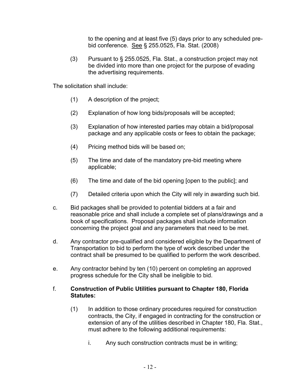to the opening and at least five (5) days prior to any scheduled prebid conference. See § 255.0525, Fla. Stat. (2008)

(3) Pursuant to § 255.0525, Fla. Stat., a construction project may not be divided into more than one project for the purpose of evading the advertising requirements.

The solicitation shall include:

- (1) A description of the project;
- (2) Explanation of how long bids/proposals will be accepted;
- (3) Explanation of how interested parties may obtain a bid/proposal package and any applicable costs or fees to obtain the package;
- (4) Pricing method bids will be based on;
- (5) The time and date of the mandatory pre-bid meeting where applicable;
- (6) The time and date of the bid opening [open to the public]; and
- (7) Detailed criteria upon which the City will rely in awarding such bid.
- c. Bid packages shall be provided to potential bidders at a fair and reasonable price and shall include a complete set of plans/drawings and a book of specifications. Proposal packages shall include information concerning the project goal and any parameters that need to be met.
- d. Any contractor pre-qualified and considered eligible by the Department of Transportation to bid to perform the type of work described under the contract shall be presumed to be qualified to perform the work described.
- e. Any contractor behind by ten (10) percent on completing an approved progress schedule for the City shall be ineligible to bid.

#### f. **Construction of Public Utilities pursuant to Chapter 180, Florida Statutes:**

- (1) In addition to those ordinary procedures required for construction contracts, the City, if engaged in contracting for the construction or extension of any of the utilities described in Chapter 180, Fla. Stat., must adhere to the following additional requirements:
	- i. Any such construction contracts must be in writing;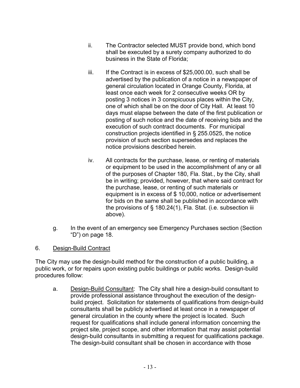- ii. The Contractor selected MUST provide bond, which bond shall be executed by a surety company authorized to do business in the State of Florida;
- iii. If the Contract is in excess of \$25,000.00, such shall be advertised by the publication of a notice in a newspaper of general circulation located in Orange County, Florida, at least once each week for 2 consecutive weeks OR by posting 3 notices in 3 conspicuous places within the City, one of which shall be on the door of City Hall. At least 10 days must elapse between the date of the first publication or posting of such notice and the date of receiving bids and the execution of such contract documents. For municipal construction projects identified in [§ 255.0525,](https://www.lexis.com/research/buttonTFLink?_m=129d548b61da49d7d3365634425fe498&_xfercite=%3ccite%20cc%3d%22USA%22%3e%3c%21%5bCDATA%5bFla.%20Stat.%20%a7%20180.24%5d%5d%3e%3c%2fcite%3e&_butType=4&_butStat=0&_butNum=2&_butInline=1&_butinfo=FLCODE%20255.0525&_fmtstr=FULL&docnum=1&_startdoc=1&wchp=dGLzVzz-zSkAl&_md5=c0efbd3751dfa8d8d0f13d1abeb07d48) the notice provision of such section supersedes and replaces the notice provisions described herein.
- iv. All contracts for the purchase, lease, or renting of materials or equipment to be used in the accomplishment of any or all of the purposes of Chapter 180, Fla. Stat., by the City, shall be in writing; provided, however, that where said contract for the purchase, lease, or renting of such materials or equipment is in excess of \$ 10,000, notice or advertisement for bids on the same shall be published in accordance with the provisions of § 180.24(1), Fla. Stat. (i.e. subsection iii above).
- g. In the event of an emergency see Emergency Purchases section (Section "D") on page 18.
- 6. Design-Build Contract

The City may use the design-build method for the construction of a public building, a public work, or for repairs upon existing public buildings or public works. Design-build procedures follow:

a. Design-Build Consultant: The City shall hire a design-build consultant to provide professional assistance throughout the execution of the designbuild project. Solicitation for statements of qualifications from design-build consultants shall be publicly advertised at least once in a newspaper of general circulation in the county where the project is located. Such request for qualifications shall include general information concerning the project site, project scope, and other information that may assist potential design-build consultants in submitting a request for qualifications package. The design-build consultant shall be chosen in accordance with those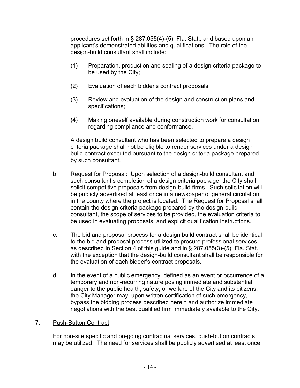procedures set forth in § 287.055(4)-(5), Fla. Stat., and based upon an applicant's demonstrated abilities and qualifications. The role of the design-build consultant shall include:

- (1) Preparation, production and sealing of a design criteria package to be used by the City;
- (2) Evaluation of each bidder's contract proposals;
- (3) Review and evaluation of the design and construction plans and specifications;
- (4) Making oneself available during construction work for consultation regarding compliance and conformance.

A design build consultant who has been selected to prepare a design criteria package shall not be eligible to render services under a design – build contract executed pursuant to the design criteria package prepared by such consultant.

- b. Request for Proposal: Upon selection of a design-build consultant and such consultant's completion of a design criteria package, the City shall solicit competitive proposals from design-build firms. Such solicitation will be publicly advertised at least once in a newspaper of general circulation in the county where the project is located. The Request for Proposal shall contain the design criteria package prepared by the design-build consultant, the scope of services to be provided, the evaluation criteria to be used in evaluating proposals, and explicit qualification instructions.
- c. The bid and proposal process for a design build contract shall be identical to the bid and proposal process utilized to procure professional services as described in Section 4 of this guide and in § 287.055(3)-(5), Fla. Stat., with the exception that the design-build consultant shall be responsible for the evaluation of each bidder's contract proposals.
- d. In the event of a public emergency, defined as an event or occurrence of a temporary and non-recurring nature posing immediate and substantial danger to the public health, safety, or welfare of the City and its citizens, the City Manager may, upon written certification of such emergency, bypass the bidding process described herein and authorize immediate negotiations with the best qualified firm immediately available to the City.

#### **Push-Button Contract** 7

For non-site specific and on-going contractual services, push-button contracts may be utilized. The need for services shall be publicly advertised at least once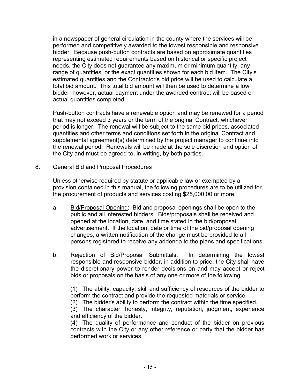in a newspaper of general circulation in the county where the services will be performed and competitively awarded to the lowest responsible and responsive bidder. Because push-button contracts are based on approximate quantities representing estimated requirements based on historical or specific project needs, the City does not guarantee any maximum or minimum quantity, any range of quantities, or the exact quantities shown for each bid item. The City's estimated quantities and the Contractor's bid price will be used to calculate a total bid amount. This total bid amount will then be used to determine a low bidder; however, actual payment under the awarded contract will be based on actual quantities completed.

Push-button contracts have a renewable option and may be renewed for a period that may not exceed 3 years or the term of the original Contract, whichever period is longer. The renewal will be subject to the same bid prices, associated quantities and other terms and conditions set forth in the original Contract and supplemental agreement(s) determined by the project manager to continue into the renewal period. Renewals will be made at the sole discretion and option of the City and must be agreed to, in writing, by both parties.

#### 8. General Bid and Proposal Procedures

Unless otherwise required by statute or applicable law or exempted by a provision contained in this manual, the following procedures are to be utilized for the procurement of products and services costing \$25,000.00 or more.

- a. Bid/Proposal Opening: Bid and proposal openings shall be open to the public and all interested bidders. Bids/proposals shall be received and opened at the location, date, and time stated in the bid/proposal advertisement. If the location, date or time of the bid/proposal opening changes, a written notification of the change must be provided to all persons registered to receive any addenda to the plans and specifications.
- b. Rejection of Bid/Proposal Submittals: In determining the lowest responsible and responsive bidder, in addition to price, the City shall have the discretionary power to render decisions on and may accept or reject bids or proposals on the basis of any one or more of the following:

(1) The ability, capacity, skill and sufficiency of resources of the bidder to perform the contract and provide the requested materials or service.

(2) The bidder's ability to perform the contract within the time specified.

(3) The character, honesty, integrity, reputation, judgment, experience and efficiency of the bidder.

(4) The quality of performance and conduct of the bidder on previous contracts with the City or any other reference or party that the bidder has performed work or services.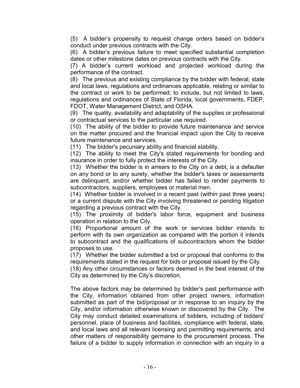(5) A bidder's propensity to request change orders based on bidder's conduct under previous contracts with the City.

(6) A bidder's previous failure to meet specified substantial completion dates or other milestone dates on previous contracts with the City.

(7) A bidder's current workload and projected workload during the performance of the contract.

(8) The previous and existing compliance by the bidder with federal, state and local laws, regulations and ordinances applicable, relating or similar to the contract or work to be performed; to include, but not limited to laws, regulations and ordinances of State of Florida, local governments, FDEP, FDOT, Water Management District, and OSHA.

(9) The quality, availability and adaptability of the supplies or professional or contractual services to the particular use required.

(10) The ability of the bidder to provide future maintenance and service on the matter procured and the financial impact upon the City to receive future maintenance and services.

(11) The bidder's pecuniary ability and financial stability.

(12) The ability to meet the City's stated requirements for bonding and insurance in order to fully protect the interests of the City.

(13) Whether the bidder is in arrears to the City on a debt, is a defaulter on any bond or to any surety, whether the bidder's taxes or assessments are delinquent, and/or whether bidder has failed to render payments to subcontractors, suppliers, employees or material men.

(14) Whether bidder is involved in a recent past (within past three years) or a current dispute with the City involving threatened or pending litigation regarding a previous contract with the City.

(15) The proximity of bidder's labor force, equipment and business operation in relation to the City.

(16) Proportional amount of the work or services bidder intends to perform with its own organization as compared with the portion it intends to subcontract and the qualifications of subcontractors whom the bidder proposes to use.

(17) Whether the bidder submitted a bid or proposal that conforms to the requirements stated in the request for bids or proposal issued by the City.

(18) Any other circumstances or factors deemed in the best interest of the City as determined by the City's discretion.

The above factors may be determined by bidder's past performance with the City, information obtained from other project owners, information submitted as part of the bid/proposal or in response to an inquiry by the City, and/or information otherwise known or discovered by the City. The City may conduct detailed examinations of bidders, including of bidders' personnel, place of business and facilities, compliance with federal, state, and local laws and all relevant licensing and permitting requirements, and other matters of responsibility germane to the procurement process. The failure of a bidder to supply information in connection with an inquiry in a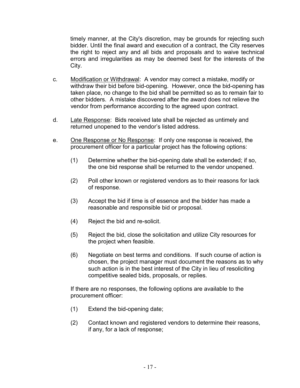timely manner, at the City's discretion, may be grounds for rejecting such bidder. Until the final award and execution of a contract, the City reserves the right to reject any and all bids and proposals and to waive technical errors and irregularities as may be deemed best for the interests of the City.

- c. Modification or Withdrawal: A vendor may correct a mistake, modify or withdraw their bid before bid-opening. However, once the bid-opening has taken place, no change to the bid shall be permitted so as to remain fair to other bidders. A mistake discovered after the award does not relieve the vendor from performance according to the agreed upon contract.
- d. Late Response: Bids received late shall be rejected as untimely and returned unopened to the vendor's listed address.
- e. One Response or No Response: If only one response is received, the procurement officer for a particular project has the following options:
	- (1) Determine whether the bid-opening date shall be extended; if so, the one bid response shall be returned to the vendor unopened.
	- (2) Poll other known or registered vendors as to their reasons for lack of response.
	- (3) Accept the bid if time is of essence and the bidder has made a reasonable and responsible bid or proposal.
	- (4) Reject the bid and re-solicit.
	- (5) Reject the bid, close the solicitation and utilize City resources for the project when feasible.
	- (6) Negotiate on best terms and conditions. If such course of action is chosen, the project manager must document the reasons as to why such action is in the best interest of the City in lieu of resoliciting competitive sealed bids, proposals, or replies.

If there are no responses, the following options are available to the procurement officer:

- (1) Extend the bid-opening date;
- (2) Contact known and registered vendors to determine their reasons, if any, for a lack of response;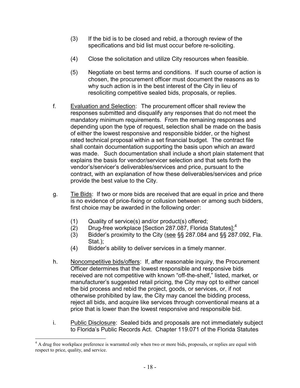- (3) If the bid is to be closed and rebid, a thorough review of the specifications and bid list must occur before re-soliciting.
- (4) Close the solicitation and utilize City resources when feasible.
- (5) Negotiate on best terms and conditions. If such course of action is chosen, the procurement officer must document the reasons as to why such action is in the best interest of the City in lieu of resoliciting competitive sealed bids, proposals, or replies.
- f. Evaluation and Selection: The procurement officer shall review the responses submitted and disqualify any responses that do not meet the mandatory minimum requirements. From the remaining responses and depending upon the type of request, selection shall be made on the basis of either the lowest responsive and responsible bidder, or the highest rated technical proposal within a set financial budget. The contract file shall contain documentation supporting the basis upon which an award was made. Such documentation shall include a short plain statement that explains the basis for vendor/servicer selection and that sets forth the vendor's/servicer's deliverables/services and price, pursuant to the contract, with an explanation of how these deliverables/services and price provide the best value to the City.
- g. Tie Bids: If two or more bids are received that are equal in price and there is no evidence of price-fixing or collusion between or among such bidders, first choice may be awarded in the following order:
	- (1) Quality of service(s) and/or product(s) offered;
	- (2) Drug-free workplace [Section 287.087, Florida Statutes];<sup>4</sup>
	- (3) Bidder's proximity to the City (see §§ 287.084 and §§ 287.092, Fla. Stat.);
	- (4) Bidder's ability to deliver services in a timely manner.
- h. Noncompetitive bids/offers: If, after reasonable inquiry, the Procurement Officer determines that the lowest responsible and responsive bids received are not competitive with known "off-the-shelf," listed, market, or manufacturer's suggested retail pricing, the City may opt to either cancel the bid process and rebid the project, goods, or services, or, if not otherwise prohibited by law, the City may cancel the bidding process, reject all bids, and acquire like services through conventional means at a price that is lower than the lowest responsive and responsible bid.
- i. Public Disclosure: Sealed bids and proposals are not immediately subject to Florida's Public Records Act. Chapter 119.071 of the Florida Statutes

<sup>&</sup>lt;sup>4</sup> A drug free workplace preference is warranted only when two or more bids, proposals, or replies are equal with respect to price, quality, and service.  $\overline{a}$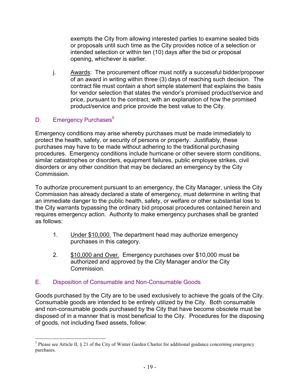exempts the City from allowing interested parties to examine sealed bids or proposals until such time as the City provides notice of a selection or intended selection or within ten (10) days after the bid or proposal opening, whichever is earlier.

j. Awards: The procurement officer must notify a successful bidder/proposer of an award in writing within three (3) days of reaching such decision. The contract file must contain a short simple statement that explains the basis for vendor selection that states the vendor's promised product/service and price, pursuant to the contract, with an explanation of how the promised product/service and price provide the best value to the City.

#### D. Emergency Purchases<sup>5</sup>

Emergency conditions may arise whereby purchases must be made immediately to protect the health, safety, or security of persons or property. Justifiably, these purchases may have to be made without adhering to the traditional purchasing procedures. Emergency conditions include hurricane or other severe storm conditions, similar catastrophes or disorders, equipment failures, public employee strikes, civil disorders or any other condition that may be declared an emergency by the City Commission.

To authorize procurement pursuant to an emergency, the City Manager, unless the City Commission has already declared a state of emergency, must determine in writing that an immediate danger to the public health, safety, or welfare or other substantial loss to the City warrants bypassing the ordinary bid proposal procedures contained herein and requires emergency action. Authority to make emergency purchases shall be granted as follows:

- 1. Under \$10,000. The department head may authorize emergency purchases in this category.
- 2. \$10,000 and Over. Emergency purchases over \$10,000 must be authorized and approved by the City Manager and/or the City **Commission**

#### E. Disposition of Consumable and Non-Consumable Goods

Goods purchased by the City are to be used exclusively to achieve the goals of the City. Consumable goods are intended to be entirely utilized by the City. Both consumable and non-consumable goods purchased by the City that have become obsolete must be disposed of in a manner that is most beneficial to the City. Procedures for the disposing of goods, not including fixed assets, follow:

<sup>&</sup>lt;sup>5</sup> Please see Article II, § 21 of the City of Winter Garden Charter for additional guidance concerning emergency purchases.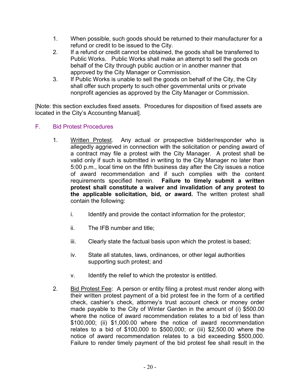- 1. When possible, such goods should be returned to their manufacturer for a refund or credit to be issued to the City.
- 2. If a refund or credit cannot be obtained, the goods shall be transferred to Public Works. Public Works shall make an attempt to sell the goods on behalf of the City through public auction or in another manner that approved by the City Manager or Commission.
- 3. If Public Works is unable to sell the goods on behalf of the City, the City shall offer such property to such other governmental units or private nonprofit agencies as approved by the City Manager or Commission.

[Note: this section excludes fixed assets. Procedures for disposition of fixed assets are located in the City's Accounting Manual].

#### F. Bid Protest Procedures

- 1. Written Protest. Any actual or prospective bidder/responder who is allegedly aggrieved in connection with the solicitation or pending award of a contract may file a protest with the City Manager. A protest shall be valid only if such is submitted in writing to the City Manager no later than 5:00 p.m., local time on the fifth business day after the City issues a notice of award recommendation and if such complies with the content requirements specified herein. **Failure to timely submit a written protest shall constitute a waiver and invalidation of any protest to the applicable solicitation, bid, or award.** The written protest shall contain the following:
	- i. Identify and provide the contact information for the protestor;
	- ii. The IFB number and title;
	- iii. Clearly state the factual basis upon which the protest is based;
	- iv. State all statutes, laws, ordinances, or other legal authorities supporting such protest; and
	- v. Identify the relief to which the protestor is entitled.
- 2. Bid Protest Fee: A person or entity filing a protest must render along with their written protest payment of a bid protest fee in the form of a certified check, cashier's check, attorney's trust account check or money order made payable to the City of Winter Garden in the amount of (i) \$500.00 where the notice of award recommendation relates to a bid of less than \$100,000; (ii) \$1,000.00 where the notice of award recommendation relates to a bid of \$100,000 to \$500,000; or (iii) \$2,500.00 where the notice of award recommendation relates to a bid exceeding \$500,000. Failure to render timely payment of the bid protest fee shall result in the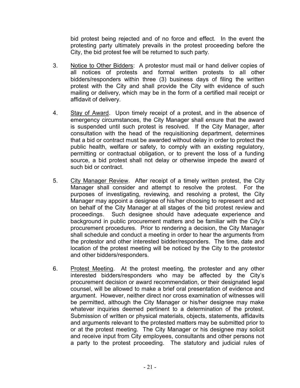bid protest being rejected and of no force and effect. In the event the protesting party ultimately prevails in the protest proceeding before the City, the bid protest fee will be returned to such party.

- 3. Notice to Other Bidders: A protestor must mail or hand deliver copies of all notices of protests and formal written protests to all other bidders/responders within three (3) business days of filing the written protest with the City and shall provide the City with evidence of such mailing or delivery, which may be in the form of a certified mail receipt or affidavit of delivery.
- 4. Stay of Award. Upon timely receipt of a protest, and in the absence of emergency circumstances, the City Manager shall ensure that the award is suspended until such protest is resolved. If the City Manager, after consultation with the head of the requisitioning department, determines that a bid or contract must be awarded without delay in order to protect the public health, welfare or safety, to comply with an existing regulatory, permitting or contractual obligation, or to prevent the loss of a funding source, a bid protest shall not delay or otherwise impede the award of such bid or contract.
- 5. City Manager Review. After receipt of a timely written protest, the City Manager shall consider and attempt to resolve the protest. For the purposes of investigating, reviewing, and resolving a protest, the City Manager may appoint a designee of his/her choosing to represent and act on behalf of the City Manager at all stages of the bid protest review and proceedings. Such designee should have adequate experience and background in public procurement matters and be familiar with the City's procurement procedures. Prior to rendering a decision, the City Manager shall schedule and conduct a meeting in order to hear the arguments from the protestor and other interested bidder/responders. The time, date and location of the protest meeting will be noticed by the City to the protestor and other bidders/responders.
- 6. Protest Meeting. At the protest meeting, the protester and any other interested bidders/responders who may be affected by the City's procurement decision or award recommendation, or their designated legal counsel, will be allowed to make a brief oral presentation of evidence and argument. However, neither direct nor cross examination of witnesses will be permitted, although the City Manager or his/her designee may make whatever inquiries deemed pertinent to a determination of the protest. Submission of written or physical materials, objects, statements, affidavits and arguments relevant to the protested matters may be submitted prior to or at the protest meeting. The City Manager or his designee may solicit and receive input from City employees, consultants and other persons not a party to the protest proceeding. The statutory and judicial rules of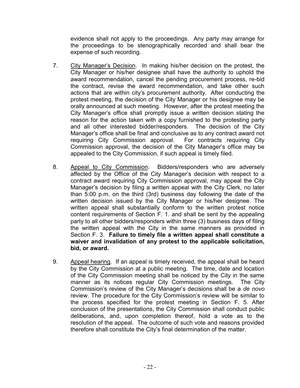evidence shall not apply to the proceedings. Any party may arrange for the proceedings to be stenographically recorded and shall bear the expense of such recording.

- 7. City Manager's Decision. In making his/her decision on the protest, the City Manager or his/her designee shall have the authority to uphold the award recommendation, cancel the pending procurement process, re-bid the contract, revise the award recommendation, and take other such actions that are within city's procurement authority. After conducting the protest meeting, the decision of the City Manager or his designee may be orally announced at such meeting. However, after the protest meeting the City Manager's office shall promptly issue a written decision stating the reason for the action taken with a copy furnished to the protesting party and all other interested bidder/responders. The decision of the City Manager's office shall be final and conclusive as to any contract award not requiring City Commission approval. For contracts requiring City Commission approval, the decision of the City Manager's office may be appealed to the City Commission, if such appeal is timely filed.
- 8. Appeal to City Commission: Bidders/responders who are adversely affected by the Office of the City Manager's decision with respect to a contract award requiring City Commission approval, may appeal the City Manager's decision by filing a written appeal with the City Clerk, no later than 5:00 p.m. on the third (3rd) business day following the date of the written decision issued by the City Manager or his/her designee. The written appeal shall substantially conform to the written protest notice content requirements of Section F. 1. and shall be sent by the appealing party to all other bidders/responders within three (3) business days of filing the written appeal with the City in the same manners as provided in Section F. 3. **Failure to timely file a written appeal shall constitute a waiver and invalidation of any protest to the applicable solicitation, bid, or award.**
- 9. Appeal hearing. If an appeal is timely received, the appeal shall be heard by the City Commission at a public meeting. The time, date and location of the City Commission meeting shall be noticed by the City in the same manner as its notices regular City Commission meetings. The City Commission's review of the City Manager's decisions shall be a *de novo* review. The procedure for the City Commission's review will be similar to the process specified for the protest meeting in Section F. 5. After conclusion of the presentations, the City Commission shall conduct public deliberations, and, upon completion thereof, hold a vote as to the resolution of the appeal. The outcome of such vote and reasons provided therefore shall constitute the City's final determination of the matter.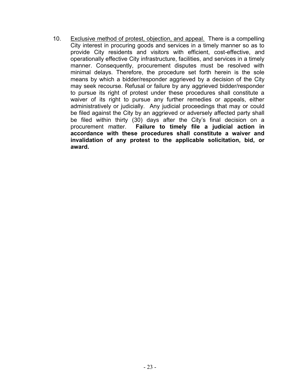10. Exclusive method of protest, objection, and appeal. There is a compelling City interest in procuring goods and services in a timely manner so as to provide City residents and visitors with efficient, cost-effective, and operationally effective City infrastructure, facilities, and services in a timely manner. Consequently, procurement disputes must be resolved with minimal delays. Therefore, the procedure set forth herein is the sole means by which a bidder/responder aggrieved by a decision of the City may seek recourse. Refusal or failure by any aggrieved bidder/responder to pursue its right of protest under these procedures shall constitute a waiver of its right to pursue any further remedies or appeals, either administratively or judicially. Any judicial proceedings that may or could be filed against the City by an aggrieved or adversely affected party shall be filed within thirty (30) days after the City's final decision on a procurement matter. Failure to timely file a judicial action in **Failure to timely file a judicial action in accordance with these procedures shall constitute a waiver and invalidation of any protest to the applicable solicitation, bid, or award.**